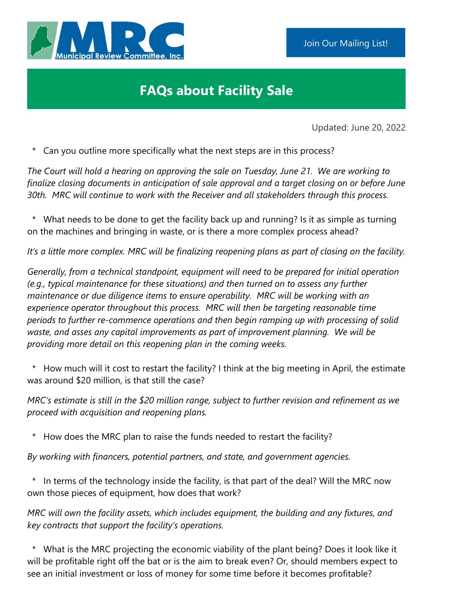

## **FAQs about Facility Sale**

Updated: June 20, 2022

\* Can you outline more specifically what the next steps are in this process?

*The Court will hold a hearing on approving the sale on Tuesday, June 21. We are working to finalize closing documents in anticipation of sale approval and a target closing on or before June 30th. MRC will continue to work with the Receiver and all stakeholders through this process.*

\* What needs to be done to get the facility back up and running? Is it as simple as turning on the machines and bringing in waste, or is there a more complex process ahead?

*It's a little more complex. MRC will be finalizing reopening plans as part of closing on the facility.* 

*Generally, from a technical standpoint, equipment will need to be prepared for initial operation (e.g., typical maintenance for these situations) and then turned on to assess any further maintenance or due diligence items to ensure operability. MRC will be working with an experience operator throughout this process. MRC will then be targeting reasonable time periods to further re-commence operations and then begin ramping up with processing of solid waste, and asses any capital improvements as part of improvement planning. We will be providing more detail on this reopening plan in the coming weeks.*

\* How much will it cost to restart the facility? I think at the big meeting in April, the estimate was around \$20 million, is that still the case?

*MRC's estimate is still in the \$20 million range, subject to further revision and refinement as we proceed with acquisition and reopening plans.*

\* How does the MRC plan to raise the funds needed to restart the facility?

*By working with financers, potential partners, and state, and government agencies.*

\* In terms of the technology inside the facility, is that part of the deal? Will the MRC now own those pieces of equipment, how does that work?

*MRC will own the facility assets, which includes equipment, the building and any fixtures, and key contracts that support the facility's operations.*

 \* What is the MRC projecting the economic viability of the plant being? Does it look like it will be profitable right off the bat or is the aim to break even? Or, should members expect to see an initial investment or loss of money for some time before it becomes profitable?